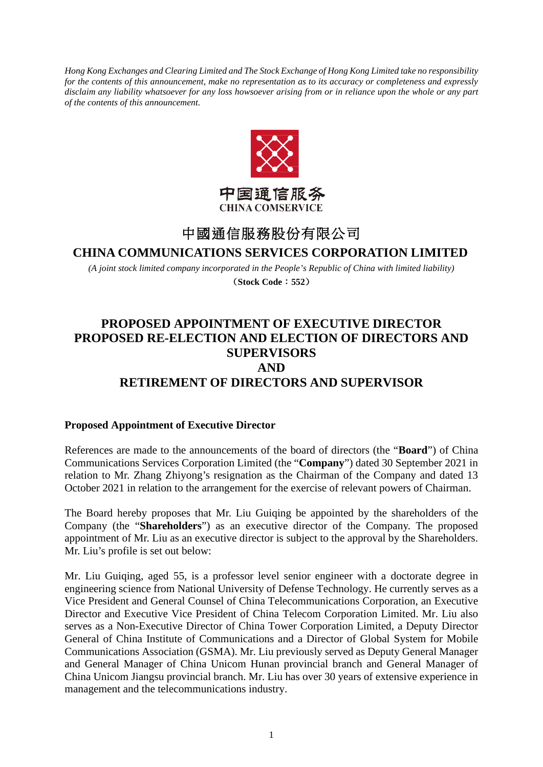*Hong Kong Exchanges and Clearing Limited and The Stock Exchange of Hong Kong Limited take no responsibility for the contents of this announcement, make no representation as to its accuracy or completeness and expressly disclaim any liability whatsoever for any loss howsoever arising from or in reliance upon the whole or any part of the contents of this announcement.*



# 中國通信服務股份有限公司

### **CHINA COMMUNICATIONS SERVICES CORPORATION LIMITED**

*(A joint stock limited company incorporated in the People's Republic of China with limited liability)* (**Stock Code**:**552**)

## **PROPOSED APPOINTMENT OF EXECUTIVE DIRECTOR PROPOSED RE-ELECTION AND ELECTION OF DIRECTORS AND SUPERVISORS AND RETIREMENT OF DIRECTORS AND SUPERVISOR**

#### **Proposed Appointment of Executive Director**

References are made to the announcements of the board of directors (the "**Board**") of China Communications Services Corporation Limited (the "**Company**") dated 30 September 2021 in relation to Mr. Zhang Zhiyong's resignation as the Chairman of the Company and dated 13 October 2021 in relation to the arrangement for the exercise of relevant powers of Chairman.

The Board hereby proposes that Mr. Liu Guiqing be appointed by the shareholders of the Company (the "**Shareholders**") as an executive director of the Company. The proposed appointment of Mr. Liu as an executive director is subject to the approval by the Shareholders. Mr. Liu's profile is set out below:

Mr. Liu Guiqing, aged 55, is a professor level senior engineer with a doctorate degree in engineering science from National University of Defense Technology. He currently serves as a Vice President and General Counsel of China Telecommunications Corporation, an Executive Director and Executive Vice President of China Telecom Corporation Limited. Mr. Liu also serves as a Non-Executive Director of China Tower Corporation Limited, a Deputy Director General of China Institute of Communications and a Director of Global System for Mobile Communications Association (GSMA). Mr. Liu previously served as Deputy General Manager and General Manager of China Unicom Hunan provincial branch and General Manager of China Unicom Jiangsu provincial branch. Mr. Liu has over 30 years of extensive experience in management and the telecommunications industry.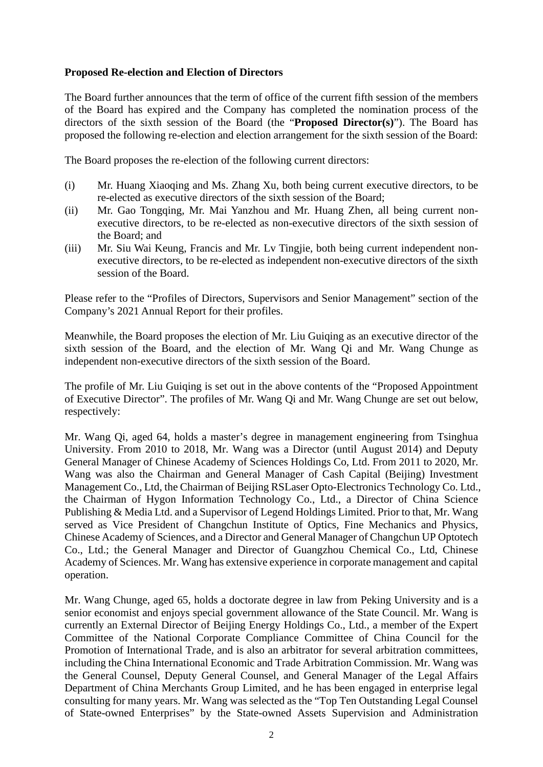#### **Proposed Re-election and Election of Directors**

The Board further announces that the term of office of the current fifth session of the members of the Board has expired and the Company has completed the nomination process of the directors of the sixth session of the Board (the "**Proposed Director(s)**"). The Board has proposed the following re-election and election arrangement for the sixth session of the Board:

The Board proposes the re-election of the following current directors:

- (i) Mr. Huang Xiaoqing and Ms. Zhang Xu, both being current executive directors, to be re-elected as executive directors of the sixth session of the Board;
- (ii) Mr. Gao Tongqing, Mr. Mai Yanzhou and Mr. Huang Zhen, all being current nonexecutive directors, to be re-elected as non-executive directors of the sixth session of the Board; and
- (iii) Mr. Siu Wai Keung, Francis and Mr. Lv Tingjie, both being current independent nonexecutive directors, to be re-elected as independent non-executive directors of the sixth session of the Board.

Please refer to the "Profiles of Directors, Supervisors and Senior Management" section of the Company's 2021 Annual Report for their profiles.

Meanwhile, the Board proposes the election of Mr. Liu Guiqing as an executive director of the sixth session of the Board, and the election of Mr. Wang Qi and Mr. Wang Chunge as independent non-executive directors of the sixth session of the Board.

The profile of Mr. Liu Guiqing is set out in the above contents of the "Proposed Appointment of Executive Director". The profiles of Mr. Wang Qi and Mr. Wang Chunge are set out below, respectively:

Mr. Wang Qi, aged 64, holds a master's degree in management engineering from Tsinghua University. From 2010 to 2018, Mr. Wang was a Director (until August 2014) and Deputy General Manager of Chinese Academy of Sciences Holdings Co, Ltd. From 2011 to 2020, Mr. Wang was also the Chairman and General Manager of Cash Capital (Beijing) Investment Management Co., Ltd, the Chairman of Beijing RSLaser Opto-Electronics Technology Co. Ltd., the Chairman of Hygon Information Technology Co., Ltd., a Director of China Science Publishing & Media Ltd. and a Supervisor of Legend Holdings Limited. Prior to that, Mr. Wang served as Vice President of Changchun Institute of Optics, Fine Mechanics and Physics, Chinese Academy of Sciences, and a Director and General Manager of Changchun UP Optotech Co., Ltd.; the General Manager and Director of Guangzhou Chemical Co., Ltd, Chinese Academy of Sciences. Mr. Wang has extensive experience in corporate management and capital operation.

Mr. Wang Chunge, aged 65, holds a doctorate degree in law from Peking University and is a senior economist and enjoys special government allowance of the State Council. Mr. Wang is currently an External Director of Beijing Energy Holdings Co., Ltd., a member of the Expert Committee of the National Corporate Compliance Committee of China Council for the Promotion of International Trade, and is also an arbitrator for several arbitration committees, including the China International Economic and Trade Arbitration Commission. Mr. Wang was the General Counsel, Deputy General Counsel, and General Manager of the Legal Affairs Department of China Merchants Group Limited, and he has been engaged in enterprise legal consulting for many years. Mr. Wang was selected as the "Top Ten Outstanding Legal Counsel of State-owned Enterprises" by the State-owned Assets Supervision and Administration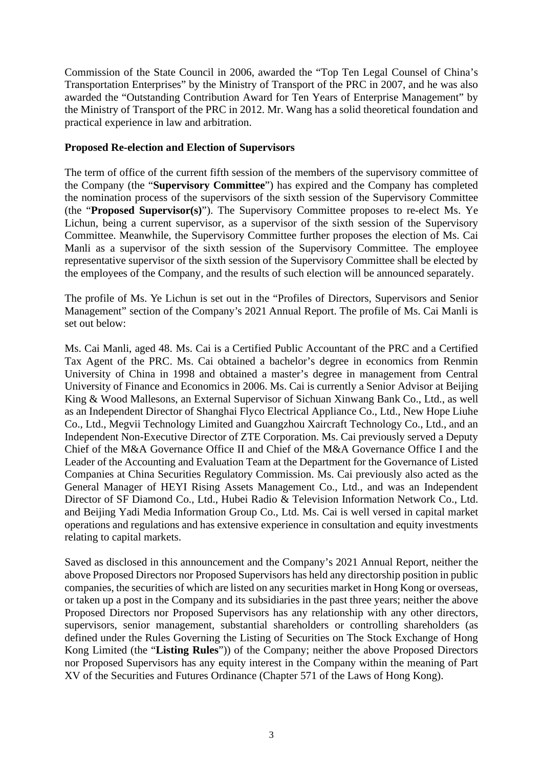Commission of the State Council in 2006, awarded the "Top Ten Legal Counsel of China's Transportation Enterprises" by the Ministry of Transport of the PRC in 2007, and he was also awarded the "Outstanding Contribution Award for Ten Years of Enterprise Management" by the Ministry of Transport of the PRC in 2012. Mr. Wang has a solid theoretical foundation and practical experience in law and arbitration.

#### **Proposed Re-election and Election of Supervisors**

The term of office of the current fifth session of the members of the supervisory committee of the Company (the "**Supervisory Committee**") has expired and the Company has completed the nomination process of the supervisors of the sixth session of the Supervisory Committee (the "**Proposed Supervisor(s)**"). The Supervisory Committee proposes to re-elect Ms. Ye Lichun, being a current supervisor, as a supervisor of the sixth session of the Supervisory Committee. Meanwhile, the Supervisory Committee further proposes the election of Ms. Cai Manli as a supervisor of the sixth session of the Supervisory Committee. The employee representative supervisor of the sixth session of the Supervisory Committee shall be elected by the employees of the Company, and the results of such election will be announced separately.

The profile of Ms. Ye Lichun is set out in the "Profiles of Directors, Supervisors and Senior Management" section of the Company's 2021 Annual Report. The profile of Ms. Cai Manli is set out below:

Ms. Cai Manli, aged 48. Ms. Cai is a Certified Public Accountant of the PRC and a Certified Tax Agent of the PRC. Ms. Cai obtained a bachelor's degree in economics from Renmin University of China in 1998 and obtained a master's degree in management from Central University of Finance and Economics in 2006. Ms. Cai is currently a Senior Advisor at Beijing King & Wood Mallesons, an External Supervisor of Sichuan Xinwang Bank Co., Ltd., as well as an Independent Director of Shanghai Flyco Electrical Appliance Co., Ltd., New Hope Liuhe Co., Ltd., Megvii Technology Limited and Guangzhou Xaircraft Technology Co., Ltd., and an Independent Non-Executive Director of ZTE Corporation. Ms. Cai previously served a Deputy Chief of the M&A Governance Office II and Chief of the M&A Governance Office I and the Leader of the Accounting and Evaluation Team at the Department for the Governance of Listed Companies at China Securities Regulatory Commission. Ms. Cai previously also acted as the General Manager of HEYI Rising Assets Management Co., Ltd., and was an Independent Director of SF Diamond Co., Ltd., Hubei Radio & Television Information Network Co., Ltd. and Beijing Yadi Media Information Group Co., Ltd. Ms. Cai is well versed in capital market operations and regulations and has extensive experience in consultation and equity investments relating to capital markets.

Saved as disclosed in this announcement and the Company's 2021 Annual Report, neither the above Proposed Directors nor Proposed Supervisors has held any directorship position in public companies, the securities of which are listed on any securities market in Hong Kong or overseas, or taken up a post in the Company and its subsidiaries in the past three years; neither the above Proposed Directors nor Proposed Supervisors has any relationship with any other directors, supervisors, senior management, substantial shareholders or controlling shareholders (as defined under the Rules Governing the Listing of Securities on The Stock Exchange of Hong Kong Limited (the "**Listing Rules**")) of the Company; neither the above Proposed Directors nor Proposed Supervisors has any equity interest in the Company within the meaning of Part XV of the Securities and Futures Ordinance (Chapter 571 of the Laws of Hong Kong).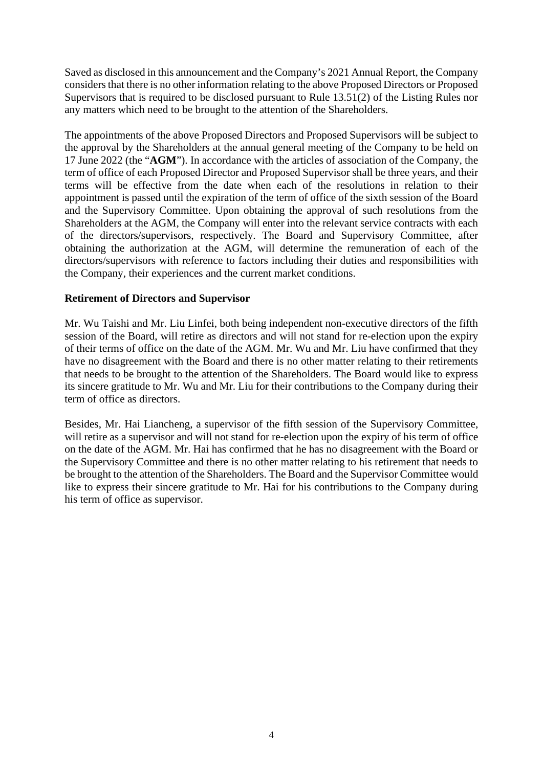Saved as disclosed in this announcement and the Company's 2021 Annual Report, the Company considers that there is no other information relating to the above Proposed Directors or Proposed Supervisors that is required to be disclosed pursuant to Rule 13.51(2) of the Listing Rules nor any matters which need to be brought to the attention of the Shareholders.

The appointments of the above Proposed Directors and Proposed Supervisors will be subject to the approval by the Shareholders at the annual general meeting of the Company to be held on 17 June 2022 (the "**AGM**"). In accordance with the articles of association of the Company, the term of office of each Proposed Director and Proposed Supervisor shall be three years, and their terms will be effective from the date when each of the resolutions in relation to their appointment is passed until the expiration of the term of office of the sixth session of the Board and the Supervisory Committee. Upon obtaining the approval of such resolutions from the Shareholders at the AGM, the Company will enter into the relevant service contracts with each of the directors/supervisors, respectively. The Board and Supervisory Committee, after obtaining the authorization at the AGM, will determine the remuneration of each of the directors/supervisors with reference to factors including their duties and responsibilities with the Company, their experiences and the current market conditions.

#### **Retirement of Directors and Supervisor**

Mr. Wu Taishi and Mr. Liu Linfei, both being independent non-executive directors of the fifth session of the Board, will retire as directors and will not stand for re-election upon the expiry of their terms of office on the date of the AGM. Mr. Wu and Mr. Liu have confirmed that they have no disagreement with the Board and there is no other matter relating to their retirements that needs to be brought to the attention of the Shareholders. The Board would like to express its sincere gratitude to Mr. Wu and Mr. Liu for their contributions to the Company during their term of office as directors.

Besides, Mr. Hai Liancheng, a supervisor of the fifth session of the Supervisory Committee, will retire as a supervisor and will not stand for re-election upon the expiry of his term of office on the date of the AGM. Mr. Hai has confirmed that he has no disagreement with the Board or the Supervisory Committee and there is no other matter relating to his retirement that needs to be brought to the attention of the Shareholders. The Board and the Supervisor Committee would like to express their sincere gratitude to Mr. Hai for his contributions to the Company during his term of office as supervisor.